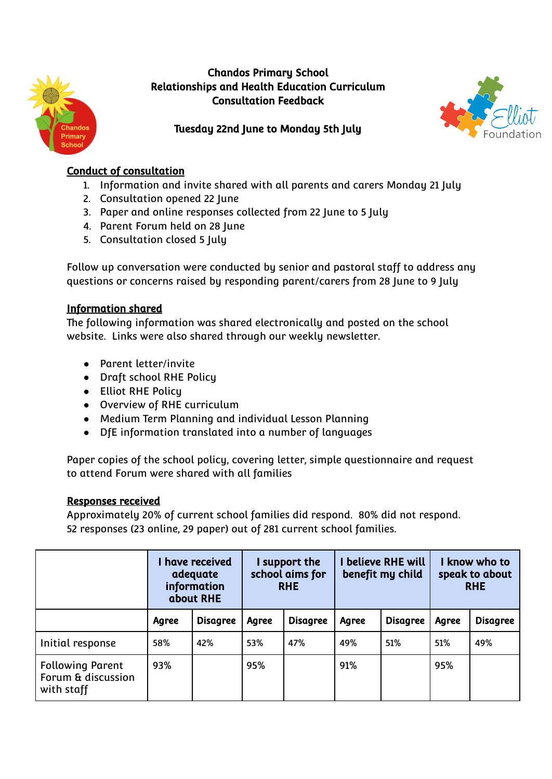

# Chandos Primary School Relationships and Health Education Curriculum Consultation Feedback



# Tuesday 22nd June to Monday 5th July

## Conduct of consultation

- 1. Information and invite shared with all parents and carers Monday 21 July
- 2. Consultation opened 22 June
- 3. Paper and online responses collected from 22 June to 5 July
- 4. Parent Forum held on 28 June
- 5. Consultation closed 5 July

Follow up conversation were conducted by senior and pastoral staff to address any questions or concerns raised by responding parent/carers from 28 June to 9 July

# Information shared

The following information was shared electronically and posted on the school website. Links were also shared through our weekly newsletter.

- Parent letter/invite
- Draft school RHE Policy
- Elliot RHE Policy
- Overview of RHE curriculum
- Medium Term Planning and individual Lesson Planning
- DfE information translated into a number of languages

Paper copies of the school policy, covering letter, simple questionnaire and request to attend Forum were shared with all families

## Responses received

Approximately 20% of current school families did respond. 80% did not respond. 52 responses (23 online, 29 paper) out of 281 current school families.

|                                                             | I have received<br>adequate<br>information<br>about RHE |                 | I support the<br>school aims for<br><b>RHE</b> |                 | <b>I believe RHE will</b><br>benefit my child |                 | I know who to<br>speak to about<br><b>RHE</b> |                 |
|-------------------------------------------------------------|---------------------------------------------------------|-----------------|------------------------------------------------|-----------------|-----------------------------------------------|-----------------|-----------------------------------------------|-----------------|
|                                                             | Agree                                                   | <b>Disagree</b> | Agree                                          | <b>Disagree</b> | Agree                                         | <b>Disagree</b> | Agree                                         | <b>Disagree</b> |
| Initial response                                            | 58%                                                     | 42%             | 53%                                            | 47%             | 49%                                           | 51%             | 51%                                           | 49%             |
| <b>Following Parent</b><br>Forum & discussion<br>with staff | 93%                                                     |                 | 95%                                            |                 | 91%                                           |                 | 95%                                           |                 |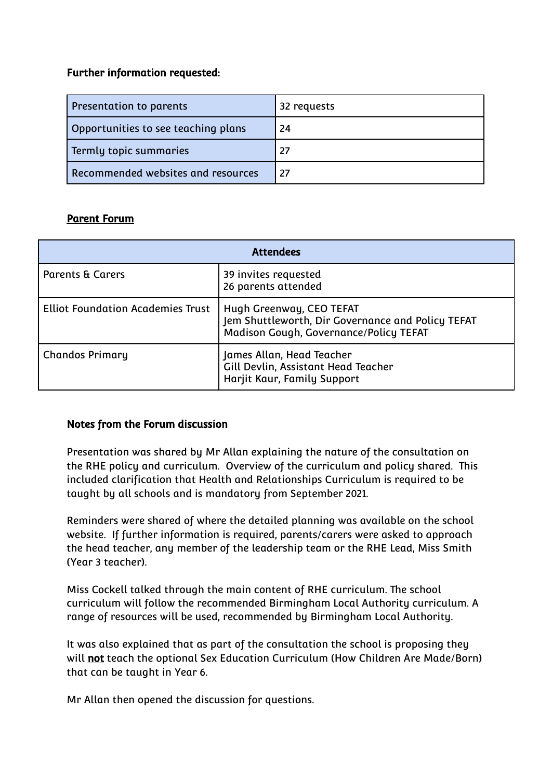### Further information requested:

| Presentation to parents             | 32 requests |
|-------------------------------------|-------------|
| Opportunities to see teaching plans | 24          |
| Termly topic summaries              | 27          |
| Recommended websites and resources  | 27          |

## Parent Forum

| <b>Attendees</b>                         |                                                                                                                         |  |
|------------------------------------------|-------------------------------------------------------------------------------------------------------------------------|--|
| <b>Parents &amp; Carers</b>              | 39 invites requested<br>26 parents attended                                                                             |  |
| <b>Elliot Foundation Academies Trust</b> | Hugh Greenway, CEO TEFAT<br>Jem Shuttleworth, Dir Governance and Policy TEFAT<br>Madison Gough, Governance/Policy TEFAT |  |
| <b>Chandos Primary</b>                   | James Allan, Head Teacher<br>Gill Devlin, Assistant Head Teacher<br>Harjit Kaur, Family Support                         |  |

#### Notes from the Forum discussion

Presentation was shared by Mr Allan explaining the nature of the consultation on the RHE policy and curriculum. Overview of the curriculum and policy shared. This included clarification that Health and Relationships Curriculum is required to be taught by all schools and is mandatory from September 2021.

Reminders were shared of where the detailed planning was available on the school website. If further information is required, parents/carers were asked to approach the head teacher, any member of the leadership team or the RHE Lead, Miss Smith (Year 3 teacher).

Miss Cockell talked through the main content of RHE curriculum. The school curriculum will follow the recommended Birmingham Local Authority curriculum. A range of resources will be used, recommended by Birmingham Local Authority.

It was also explained that as part of the consultation the school is proposing they will not teach the optional Sex Education Curriculum (How Children Are Made/Born) that can be taught in Year 6.

Mr Allan then opened the discussion for questions.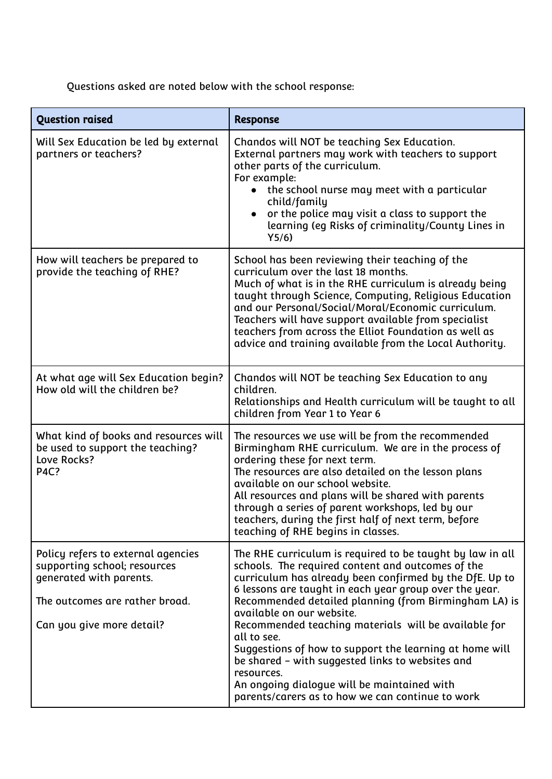Questions asked are noted below with the school response:

| <b>Question raised</b>                                                                                                                                       | <b>Response</b>                                                                                                                                                                                                                                                                                                                                                                                                                                                                                                                                                                                                                  |  |  |
|--------------------------------------------------------------------------------------------------------------------------------------------------------------|----------------------------------------------------------------------------------------------------------------------------------------------------------------------------------------------------------------------------------------------------------------------------------------------------------------------------------------------------------------------------------------------------------------------------------------------------------------------------------------------------------------------------------------------------------------------------------------------------------------------------------|--|--|
| Will Sex Education be led by external<br>partners or teachers?                                                                                               | Chandos will NOT be teaching Sex Education.<br>External partners may work with teachers to support<br>other parts of the curriculum.<br>For example:<br>the school nurse may meet with a particular<br>child/family<br>or the police may visit a class to support the<br>$\bullet$<br>learning (eg Risks of criminality/County Lines in<br>Y5/6                                                                                                                                                                                                                                                                                  |  |  |
| How will teachers be prepared to<br>provide the teaching of RHE?                                                                                             | School has been reviewing their teaching of the<br>curriculum over the last 18 months.<br>Much of what is in the RHE curriculum is already being<br>taught through Science, Computing, Religious Education<br>and our Personal/Social/Moral/Economic curriculum.<br>Teachers will have support available from specialist<br>teachers from across the Elliot Foundation as well as<br>advice and training available from the Local Authority.                                                                                                                                                                                     |  |  |
| At what age will Sex Education begin?<br>How old will the children be?                                                                                       | Chandos will NOT be teaching Sex Education to any<br>children.<br>Relationships and Health curriculum will be taught to all<br>children from Year 1 to Year 6                                                                                                                                                                                                                                                                                                                                                                                                                                                                    |  |  |
| What kind of books and resources will<br>be used to support the teaching?<br>Love Rocks?<br><b>P4C?</b>                                                      | The resources we use will be from the recommended<br>Birmingham RHE curriculum. We are in the process of<br>ordering these for next term.<br>The resources are also detailed on the lesson plans<br>available on our school website.<br>All resources and plans will be shared with parents<br>through a series of parent workshops, led by our<br>teachers, during the first half of next term, before<br>teaching of RHE begins in classes.                                                                                                                                                                                    |  |  |
| Policy refers to external agencies<br>supporting school; resources<br>generated with parents.<br>The outcomes are rather broad.<br>Can you give more detail? | The RHE curriculum is required to be taught by law in all<br>schools. The required content and outcomes of the<br>curriculum has already been confirmed by the DfE. Up to<br>6 lessons are taught in each year group over the year.<br>Recommended detailed planning (from Birmingham LA) is<br>available on our website.<br>Recommended teaching materials will be available for<br>all to see.<br>Suggestions of how to support the learning at home will<br>be shared - with suggested links to websites and<br>resources.<br>An ongoing dialogue will be maintained with<br>parents/carers as to how we can continue to work |  |  |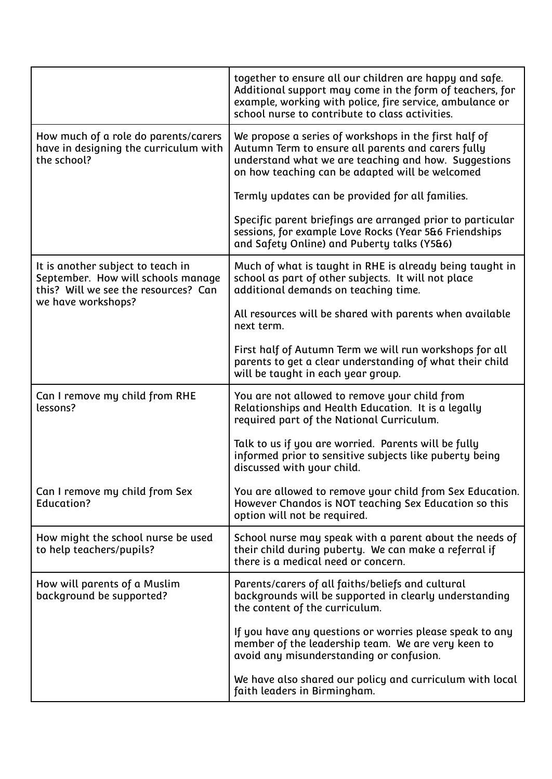|                                                                                                                                       | together to ensure all our children are happy and safe.<br>Additional support may come in the form of teachers, for<br>example, working with police, fire service, ambulance or<br>school nurse to contribute to class activities. |
|---------------------------------------------------------------------------------------------------------------------------------------|------------------------------------------------------------------------------------------------------------------------------------------------------------------------------------------------------------------------------------|
| How much of a role do parents/carers<br>have in designing the curriculum with<br>the school?                                          | We propose a series of workshops in the first half of<br>Autumn Term to ensure all parents and carers fully<br>understand what we are teaching and how. Suggestions<br>on how teaching can be adapted will be welcomed             |
|                                                                                                                                       | Termly updates can be provided for all families.                                                                                                                                                                                   |
|                                                                                                                                       | Specific parent briefings are arranged prior to particular<br>sessions, for example Love Rocks (Year 5&6 Friendships<br>and Safety Online) and Puberty talks (Y5&6)                                                                |
| It is another subject to teach in<br>September. How will schools manage<br>this? Will we see the resources? Can<br>we have workshops? | Much of what is taught in RHE is already being taught in<br>school as part of other subjects. It will not place<br>additional demands on teaching time.                                                                            |
|                                                                                                                                       | All resources will be shared with parents when available<br>next term.                                                                                                                                                             |
|                                                                                                                                       | First half of Autumn Term we will run workshops for all<br>parents to get a clear understanding of what their child<br>will be taught in each year group.                                                                          |
|                                                                                                                                       |                                                                                                                                                                                                                                    |
| Can I remove my child from RHE<br>lessons?                                                                                            | You are not allowed to remove your child from<br>Relationships and Health Education. It is a legally<br>required part of the National Curriculum.                                                                                  |
|                                                                                                                                       | Talk to us if you are worried. Parents will be fully<br>informed prior to sensitive subjects like puberty being<br>discussed with your child.                                                                                      |
| Can I remove my child from Sex<br><b>Education?</b>                                                                                   | You are allowed to remove your child from Sex Education.<br>However Chandos is NOT teaching Sex Education so this<br>option will not be required.                                                                                  |
| How might the school nurse be used<br>to help teachers/pupils?                                                                        | School nurse may speak with a parent about the needs of<br>their child during puberty. We can make a referral if<br>there is a medical need or concern.                                                                            |
| How will parents of a Muslim<br>background be supported?                                                                              | Parents/carers of all faiths/beliefs and cultural<br>backgrounds will be supported in clearly understanding<br>the content of the curriculum.                                                                                      |
|                                                                                                                                       | If you have any questions or worries please speak to any<br>member of the leadership team. We are very keen to<br>avoid any misunderstanding or confusion.                                                                         |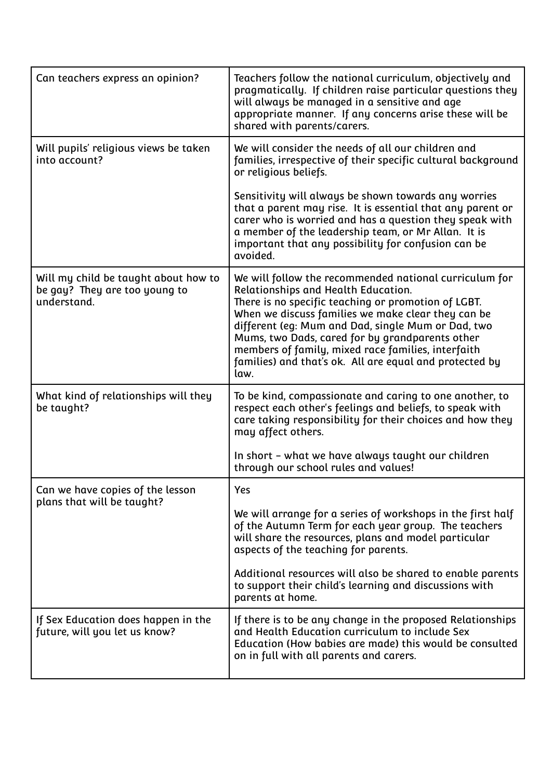| Can teachers express an opinion?                                                     | Teachers follow the national curriculum, objectively and<br>pragmatically. If children raise particular questions they<br>will always be managed in a sensitive and age<br>appropriate manner. If any concerns arise these will be<br>shared with parents/carers.                                                                                                                                                                            |
|--------------------------------------------------------------------------------------|----------------------------------------------------------------------------------------------------------------------------------------------------------------------------------------------------------------------------------------------------------------------------------------------------------------------------------------------------------------------------------------------------------------------------------------------|
| Will pupils' religious views be taken<br>into account?                               | We will consider the needs of all our children and<br>families, irrespective of their specific cultural background<br>or religious beliefs.                                                                                                                                                                                                                                                                                                  |
|                                                                                      | Sensitivity will always be shown towards any worries<br>that a parent may rise. It is essential that any parent or<br>carer who is worried and has a question they speak with<br>a member of the leadership team, or Mr Allan. It is<br>important that any possibility for confusion can be<br>avoided.                                                                                                                                      |
| Will my child be taught about how to<br>be gay? They are too young to<br>understand. | We will follow the recommended national curriculum for<br>Relationships and Health Education.<br>There is no specific teaching or promotion of LGBT.<br>When we discuss families we make clear they can be<br>different (eg: Mum and Dad, single Mum or Dad, two<br>Mums, two Dads, cared for by grandparents other<br>members of family, mixed race families, interfaith<br>families) and that's ok. All are equal and protected by<br>law. |
| What kind of relationships will they<br>be taught?                                   | To be kind, compassionate and caring to one another, to<br>respect each other's feelings and beliefs, to speak with<br>care taking responsibility for their choices and how they<br>may affect others.                                                                                                                                                                                                                                       |
|                                                                                      | In short - what we have always taught our children<br>through our school rules and values!                                                                                                                                                                                                                                                                                                                                                   |
| Can we have copies of the lesson<br>plans that will be taught?                       | Yes                                                                                                                                                                                                                                                                                                                                                                                                                                          |
|                                                                                      | We will arrange for a series of workshops in the first half<br>of the Autumn Term for each year group. The teachers<br>will share the resources, plans and model particular<br>aspects of the teaching for parents.                                                                                                                                                                                                                          |
|                                                                                      | Additional resources will also be shared to enable parents<br>to support their child's learning and discussions with<br>parents at home.                                                                                                                                                                                                                                                                                                     |
| If Sex Education does happen in the<br>future, will you let us know?                 | If there is to be any change in the proposed Relationships<br>and Health Education curriculum to include Sex<br>Education (How babies are made) this would be consulted<br>on in full with all parents and carers.                                                                                                                                                                                                                           |